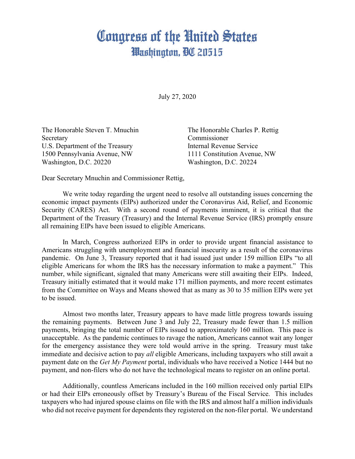## Congress of the United States Washington, DC 20515

July 27, 2020

Secretary Commissioner U.S. Department of the Treasury **Internal Revenue Service** 1500 Pennsylvania Avenue, NW 1111 Constitution Avenue, NW Washington, D.C. 20220 Washington, D.C. 20224

The Honorable Steven T. Mnuchin The Honorable Charles P. Rettig

Dear Secretary Mnuchin and Commissioner Rettig,

We write today regarding the urgent need to resolve all outstanding issues concerning the economic impact payments (EIPs) authorized under the Coronavirus Aid, Relief, and Economic Security (CARES) Act. With a second round of payments imminent, it is critical that the Department of the Treasury (Treasury) and the Internal Revenue Service (IRS) promptly ensure all remaining EIPs have been issued to eligible Americans.

In March, Congress authorized EIPs in order to provide urgent financial assistance to Americans struggling with unemployment and financial insecurity as a result of the coronavirus pandemic. On June 3, Treasury reported that it had issued just under 159 million EIPs "to all eligible Americans for whom the IRS has the necessary information to make a payment." This number, while significant, signaled that many Americans were still awaiting their EIPs. Indeed, Treasury initially estimated that it would make 171 million payments, and more recent estimates from the Committee on Ways and Means showed that as many as 30 to 35 million EIPs were yet to be issued.

Almost two months later, Treasury appears to have made little progress towards issuing the remaining payments. Between June 3 and July 22, Treasury made fewer than 1.5 million payments, bringing the total number of EIPs issued to approximately 160 million. This pace is unacceptable. As the pandemic continues to ravage the nation, Americans cannot wait any longer for the emergency assistance they were told would arrive in the spring. Treasury must take immediate and decisive action to pay *all* eligible Americans, including taxpayers who still await a payment date on the *Get My Payment* portal, individuals who have received a Notice 1444 but no payment, and non-filers who do not have the technological means to register on an online portal.

Additionally, countless Americans included in the 160 million received only partial EIPs or had their EIPs erroneously offset by Treasury's Bureau of the Fiscal Service. This includes taxpayers who had injured spouse claims on file with the IRS and almost half a million individuals who did not receive payment for dependents they registered on the non-filer portal. We understand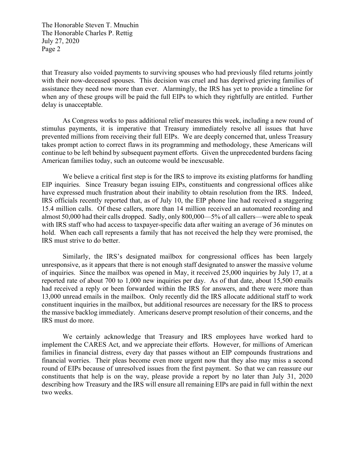The Honorable Steven T. Mnuchin The Honorable Charles P. Rettig July 27, 2020 Page 2

that Treasury also voided payments to surviving spouses who had previously filed returns jointly with their now-deceased spouses. This decision was cruel and has deprived grieving families of assistance they need now more than ever. Alarmingly, the IRS has yet to provide a timeline for when any of these groups will be paid the full EIPs to which they rightfully are entitled. Further delay is unacceptable.

As Congress works to pass additional relief measures this week, including a new round of stimulus payments, it is imperative that Treasury immediately resolve all issues that have prevented millions from receiving their full EIPs. We are deeply concerned that, unless Treasury takes prompt action to correct flaws in its programming and methodology, these Americans will continue to be left behind by subsequent payment efforts. Given the unprecedented burdens facing American families today, such an outcome would be inexcusable.

We believe a critical first step is for the IRS to improve its existing platforms for handling EIP inquiries. Since Treasury began issuing EIPs, constituents and congressional offices alike have expressed much frustration about their inability to obtain resolution from the IRS. Indeed, IRS officials recently reported that, as of July 10, the EIP phone line had received a staggering 15.4 million calls. Of these callers, more than 14 million received an automated recording and almost 50,000 had their calls dropped. Sadly, only 800,000—5% of all callers—were able to speak with IRS staff who had access to taxpayer-specific data after waiting an average of 36 minutes on hold. When each call represents a family that has not received the help they were promised, the IRS must strive to do better.

Similarly, the IRS's designated mailbox for congressional offices has been largely unresponsive, as it appears that there is not enough staff designated to answer the massive volume of inquiries. Since the mailbox was opened in May, it received 25,000 inquiries by July 17, at a reported rate of about 700 to 1,000 new inquiries per day. As of that date, about 15,500 emails had received a reply or been forwarded within the IRS for answers, and there were more than 13,000 unread emails in the mailbox. Only recently did the IRS allocate additional staff to work constituent inquiries in the mailbox, but additional resources are necessary for the IRS to process the massive backlog immediately. Americans deserve prompt resolution of their concerns, and the IRS must do more.

We certainly acknowledge that Treasury and IRS employees have worked hard to implement the CARES Act, and we appreciate their efforts. However, for millions of American families in financial distress, every day that passes without an EIP compounds frustrations and financial worries. Their pleas become even more urgent now that they also may miss a second round of EIPs because of unresolved issues from the first payment. So that we can reassure our constituents that help is on the way, please provide a report by no later than July 31, 2020 describing how Treasury and the IRS will ensure all remaining EIPs are paid in full within the next two weeks.